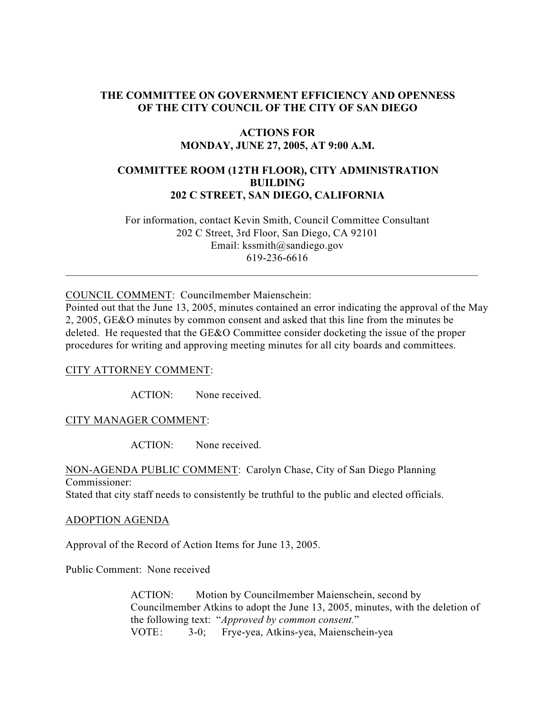### **THE COMMITTEE ON GOVERNMENT EFFICIENCY AND OPENNESS OF THE CITY COUNCIL OF THE CITY OF SAN DIEGO**

### **ACTIONS FOR MONDAY, JUNE 27, 2005, AT 9:00 A.M.**

# **COMMITTEE ROOM (12TH FLOOR), CITY ADMINISTRATION BUILDING 202 C STREET, SAN DIEGO, CALIFORNIA**

 For information, contact Kevin Smith, Council Committee Consultant 202 C Street, 3rd Floor, San Diego, CA 92101 Email: kssmith@sandiego.gov 619-236-6616

 $\_$  , and the set of the set of the set of the set of the set of the set of the set of the set of the set of the set of the set of the set of the set of the set of the set of the set of the set of the set of the set of th

COUNCIL COMMENT: Councilmember Maienschein:

Pointed out that the June 13, 2005, minutes contained an error indicating the approval of the May 2, 2005, GE&O minutes by common consent and asked that this line from the minutes be deleted. He requested that the GE&O Committee consider docketing the issue of the proper procedures for writing and approving meeting minutes for all city boards and committees.

### CITY ATTORNEY COMMENT:

ACTION: None received.

### CITY MANAGER COMMENT:

ACTION: None received.

NON-AGENDA PUBLIC COMMENT: Carolyn Chase, City of San Diego Planning Commissioner: Stated that city staff needs to consistently be truthful to the public and elected officials.

#### ADOPTION AGENDA

Approval of the Record of Action Items for June 13, 2005.

Public Comment: None received

ACTION: Motion by Councilmember Maienschein, second by Councilmember Atkins to adopt the June 13, 2005, minutes, with the deletion of the following text: "*Approved by common consent.*" VOTE: 3-0; Frye-yea, Atkins-yea, Maienschein-yea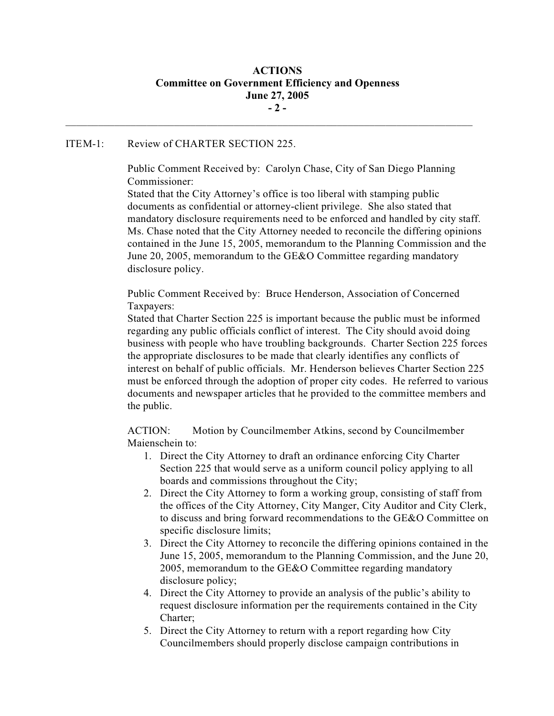# **ACTIONS Committee on Government Efficiency and Openness June 27, 2005 - 2 -**

 $\mathcal{L}_\text{max}$ 

#### ITEM-1: Review of CHARTER SECTION 225.

Public Comment Received by: Carolyn Chase, City of San Diego Planning Commissioner:

Stated that the City Attorney's office is too liberal with stamping public documents as confidential or attorney-client privilege. She also stated that mandatory disclosure requirements need to be enforced and handled by city staff. Ms. Chase noted that the City Attorney needed to reconcile the differing opinions contained in the June 15, 2005, memorandum to the Planning Commission and the June 20, 2005, memorandum to the GE&O Committee regarding mandatory disclosure policy.

Public Comment Received by: Bruce Henderson, Association of Concerned Taxpayers:

Stated that Charter Section 225 is important because the public must be informed regarding any public officials conflict of interest. The City should avoid doing business with people who have troubling backgrounds. Charter Section 225 forces the appropriate disclosures to be made that clearly identifies any conflicts of interest on behalf of public officials. Mr. Henderson believes Charter Section 225 must be enforced through the adoption of proper city codes. He referred to various documents and newspaper articles that he provided to the committee members and the public.

ACTION: Motion by Councilmember Atkins, second by Councilmember Maienschein to:

- 1. Direct the City Attorney to draft an ordinance enforcing City Charter Section 225 that would serve as a uniform council policy applying to all boards and commissions throughout the City;
- 2. Direct the City Attorney to form a working group, consisting of staff from the offices of the City Attorney, City Manger, City Auditor and City Clerk, to discuss and bring forward recommendations to the GE&O Committee on specific disclosure limits;
- 3. Direct the City Attorney to reconcile the differing opinions contained in the June 15, 2005, memorandum to the Planning Commission, and the June 20, 2005, memorandum to the GE&O Committee regarding mandatory disclosure policy;
- 4. Direct the City Attorney to provide an analysis of the public's ability to request disclosure information per the requirements contained in the City Charter;
- 5. Direct the City Attorney to return with a report regarding how City Councilmembers should properly disclose campaign contributions in